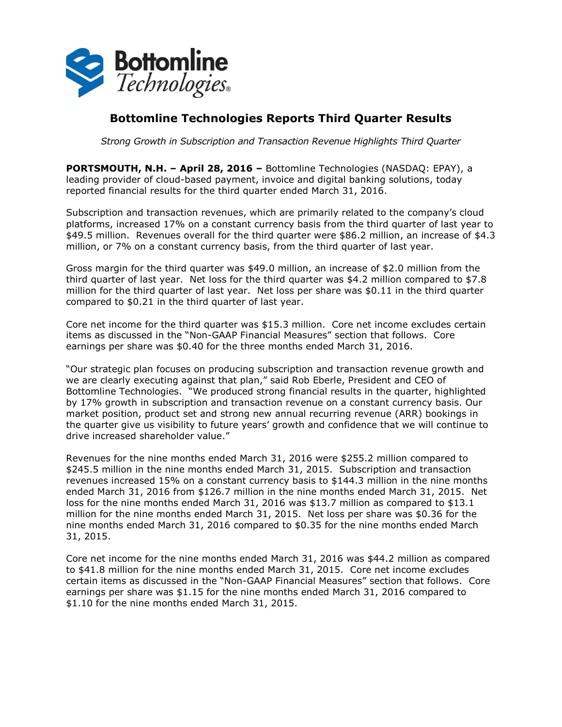

## **Bottomline Technologies Reports Third Quarter Results**

*Strong Growth in Subscription and Transaction Revenue Highlights Third Quarter*

**PORTSMOUTH, N.H. – April 28, 2016 –** Bottomline Technologies (NASDAQ: EPAY), a leading provider of cloud-based payment, invoice and digital banking solutions, today reported financial results for the third quarter ended March 31, 2016.

Subscription and transaction revenues, which are primarily related to the company's cloud platforms, increased 17% on a constant currency basis from the third quarter of last year to \$49.5 million. Revenues overall for the third quarter were \$86.2 million, an increase of \$4.3 million, or 7% on a constant currency basis, from the third quarter of last year.

Gross margin for the third quarter was \$49.0 million, an increase of \$2.0 million from the third quarter of last year. Net loss for the third quarter was \$4.2 million compared to \$7.8 million for the third quarter of last year. Net loss per share was \$0.11 in the third quarter compared to \$0.21 in the third quarter of last year.

Core net income for the third quarter was \$15.3 million. Core net income excludes certain items as discussed in the "Non-GAAP Financial Measures" section that follows. Core earnings per share was \$0.40 for the three months ended March 31, 2016.

"Our strategic plan focuses on producing subscription and transaction revenue growth and we are clearly executing against that plan," said Rob Eberle, President and CEO of Bottomline Technologies. "We produced strong financial results in the quarter, highlighted by 17% growth in subscription and transaction revenue on a constant currency basis. Our market position, product set and strong new annual recurring revenue (ARR) bookings in the quarter give us visibility to future years' growth and confidence that we will continue to drive increased shareholder value."

Revenues for the nine months ended March 31, 2016 were \$255.2 million compared to \$245.5 million in the nine months ended March 31, 2015. Subscription and transaction revenues increased 15% on a constant currency basis to \$144.3 million in the nine months ended March 31, 2016 from \$126.7 million in the nine months ended March 31, 2015. Net loss for the nine months ended March 31, 2016 was \$13.7 million as compared to \$13.1 million for the nine months ended March 31, 2015. Net loss per share was \$0.36 for the nine months ended March 31, 2016 compared to \$0.35 for the nine months ended March 31, 2015.

Core net income for the nine months ended March 31, 2016 was \$44.2 million as compared to \$41.8 million for the nine months ended March 31, 2015. Core net income excludes certain items as discussed in the "Non-GAAP Financial Measures" section that follows. Core earnings per share was \$1.15 for the nine months ended March 31, 2016 compared to \$1.10 for the nine months ended March 31, 2015.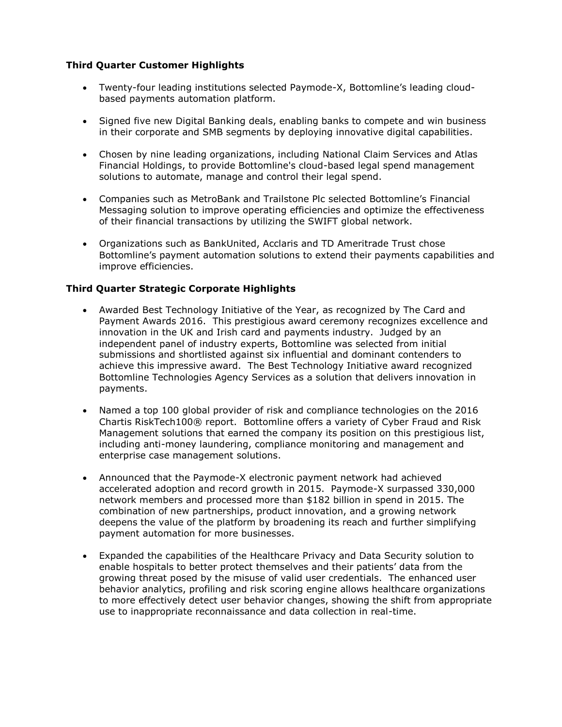## **Third Quarter Customer Highlights**

- Twenty-four leading institutions selected Paymode-X, Bottomline's leading cloudbased payments automation platform.
- Signed five new Digital Banking deals, enabling banks to compete and win business in their corporate and SMB segments by deploying innovative digital capabilities.
- Chosen by nine leading organizations, including National Claim Services and Atlas Financial Holdings, to provide Bottomline's cloud-based legal spend management solutions to automate, manage and control their legal spend.
- Companies such as MetroBank and Trailstone Plc selected Bottomline's Financial Messaging solution to improve operating efficiencies and optimize the effectiveness of their financial transactions by utilizing the SWIFT global network.
- Organizations such as BankUnited, Acclaris and TD Ameritrade Trust chose Bottomline's payment automation solutions to extend their payments capabilities and improve efficiencies.

## **Third Quarter Strategic Corporate Highlights**

- Awarded Best Technology Initiative of the Year, as recognized by The Card and Payment Awards 2016. This prestigious award ceremony recognizes excellence and innovation in the UK and Irish card and payments industry. Judged by an independent panel of industry experts, Bottomline was selected from initial submissions and shortlisted against six influential and dominant contenders to achieve this impressive award. The Best Technology Initiative award recognized Bottomline Technologies Agency Services as a solution that delivers innovation in payments.
- Named a top 100 global provider of risk and compliance technologies on the 2016 Chartis RiskTech100® report. Bottomline offers a variety of Cyber Fraud and Risk Management solutions that earned the company its position on this prestigious list, including anti-money laundering, compliance monitoring and management and enterprise case management solutions.
- Announced that the Paymode-X electronic payment network had achieved accelerated adoption and record growth in 2015. Paymode-X surpassed 330,000 network members and processed more than \$182 billion in spend in 2015. The combination of new partnerships, product innovation, and a growing network deepens the value of the platform by broadening its reach and further simplifying payment automation for more businesses.
- Expanded the capabilities of the Healthcare Privacy and Data Security solution to enable hospitals to better protect themselves and their patients' data from the growing threat posed by the misuse of valid user credentials. The enhanced user behavior analytics, profiling and risk scoring engine allows healthcare organizations to more effectively detect user behavior changes, showing the shift from appropriate use to inappropriate reconnaissance and data collection in real-time.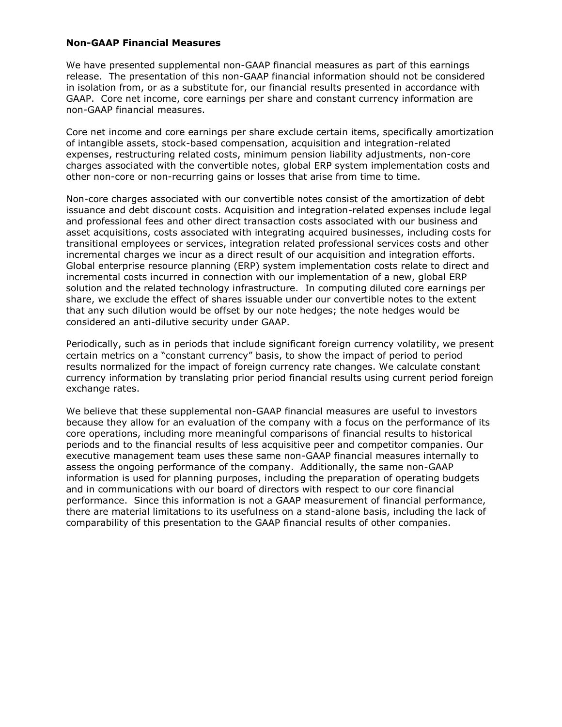## **Non-GAAP Financial Measures**

We have presented supplemental non-GAAP financial measures as part of this earnings release. The presentation of this non-GAAP financial information should not be considered in isolation from, or as a substitute for, our financial results presented in accordance with GAAP. Core net income, core earnings per share and constant currency information are non-GAAP financial measures.

Core net income and core earnings per share exclude certain items, specifically amortization of intangible assets, stock-based compensation, acquisition and integration-related expenses, restructuring related costs, minimum pension liability adjustments, non-core charges associated with the convertible notes, global ERP system implementation costs and other non-core or non-recurring gains or losses that arise from time to time.

Non-core charges associated with our convertible notes consist of the amortization of debt issuance and debt discount costs. Acquisition and integration-related expenses include legal and professional fees and other direct transaction costs associated with our business and asset acquisitions, costs associated with integrating acquired businesses, including costs for transitional employees or services, integration related professional services costs and other incremental charges we incur as a direct result of our acquisition and integration efforts. Global enterprise resource planning (ERP) system implementation costs relate to direct and incremental costs incurred in connection with our implementation of a new, global ERP solution and the related technology infrastructure. In computing diluted core earnings per share, we exclude the effect of shares issuable under our convertible notes to the extent that any such dilution would be offset by our note hedges; the note hedges would be considered an anti-dilutive security under GAAP.

Periodically, such as in periods that include significant foreign currency volatility, we present certain metrics on a "constant currency" basis, to show the impact of period to period results normalized for the impact of foreign currency rate changes. We calculate constant currency information by translating prior period financial results using current period foreign exchange rates.

We believe that these supplemental non-GAAP financial measures are useful to investors because they allow for an evaluation of the company with a focus on the performance of its core operations, including more meaningful comparisons of financial results to historical periods and to the financial results of less acquisitive peer and competitor companies. Our executive management team uses these same non-GAAP financial measures internally to assess the ongoing performance of the company. Additionally, the same non-GAAP information is used for planning purposes, including the preparation of operating budgets and in communications with our board of directors with respect to our core financial performance. Since this information is not a GAAP measurement of financial performance, there are material limitations to its usefulness on a stand-alone basis, including the lack of comparability of this presentation to the GAAP financial results of other companies.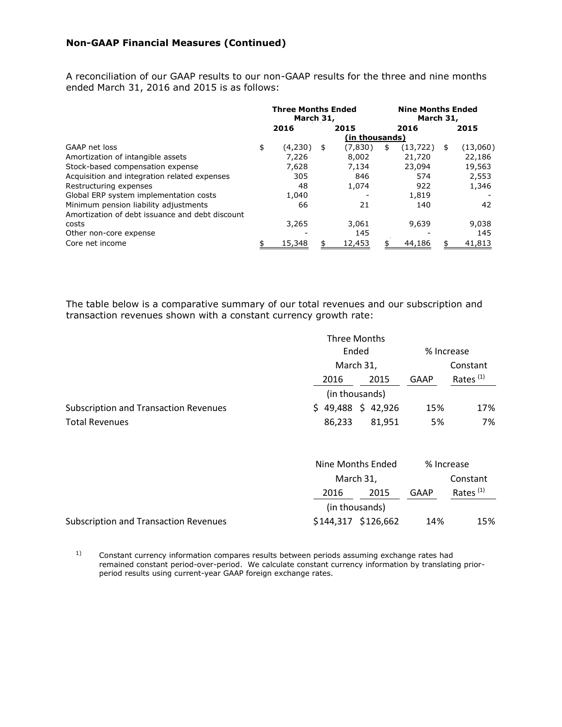A reconciliation of our GAAP results to our non-GAAP results for the three and nine months ended March 31, 2016 and 2015 is as follows:

|                                                 | <b>Three Months Ended</b><br>March 31, |         |                | <b>Nine Months Ended</b><br>March 31, |      |           |    |          |
|-------------------------------------------------|----------------------------------------|---------|----------------|---------------------------------------|------|-----------|----|----------|
|                                                 |                                        | 2016    | 2015           |                                       | 2016 |           |    | 2015     |
|                                                 |                                        |         | (in thousands) |                                       |      |           |    |          |
| GAAP net loss                                   | \$                                     | (4,230) | \$             | (7,830)                               | \$   | (13, 722) | \$ | (13,060) |
| Amortization of intangible assets               |                                        | 7.226   |                | 8,002                                 |      | 21,720    |    | 22,186   |
| Stock-based compensation expense                |                                        | 7,628   |                | 7.134                                 |      | 23,094    |    | 19,563   |
| Acquisition and integration related expenses    |                                        | 305     |                | 846                                   |      | 574       |    | 2,553    |
| Restructuring expenses                          |                                        | 48      |                | 1,074                                 |      | 922       |    | 1,346    |
| Global ERP system implementation costs          |                                        | 1,040   |                |                                       |      | 1,819     |    |          |
| Minimum pension liability adjustments           |                                        | 66      |                | 21                                    |      | 140       |    | 42       |
| Amortization of debt issuance and debt discount |                                        |         |                |                                       |      |           |    |          |
| costs                                           |                                        | 3,265   |                | 3,061                                 |      | 9,639     |    | 9,038    |
| Other non-core expense                          |                                        |         |                | 145                                   |      |           |    | 145      |
| Core net income                                 |                                        | 15,348  |                | 12,453                                |      | 44,186    |    | 41,813   |

The table below is a comparative summary of our total revenues and our subscription and transaction revenues shown with a constant currency growth rate:

|                                              |                | Three Months |            |          |          |             |
|----------------------------------------------|----------------|--------------|------------|----------|----------|-------------|
|                                              | Ended          |              | % Increase |          |          |             |
|                                              | March 31,      |              |            |          | Constant |             |
|                                              |                | 2016         |            | 2015     | GAAP     | Rates $(1)$ |
|                                              | (in thousands) |              |            |          |          |             |
| <b>Subscription and Transaction Revenues</b> |                | \$49,488     |            | \$42,926 | 15%      | 17%         |
| <b>Total Revenues</b>                        |                | 86,233       |            | 81.951   | 5%       | 7%          |

|                                              | Nine Months Ended |                     | % Increase |             |
|----------------------------------------------|-------------------|---------------------|------------|-------------|
|                                              | March 31,         |                     |            | Constant    |
|                                              | 2016              | 2015                | GAAP       | Rates $(1)$ |
|                                              |                   | (in thousands)      |            |             |
| <b>Subscription and Transaction Revenues</b> |                   | \$144,317 \$126,662 | 14%        | 15%         |

1) Constant currency information compares results between periods assuming exchange rates had remained constant period-over-period. We calculate constant currency information by translating priorperiod results using current-year GAAP foreign exchange rates.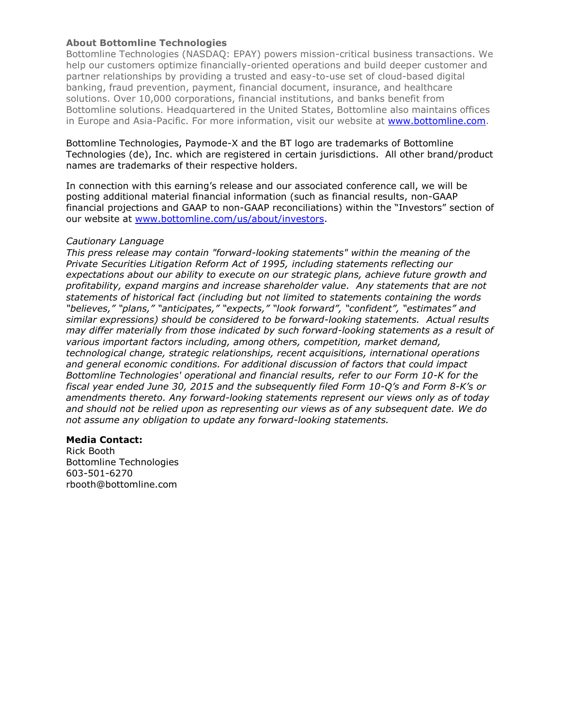## **About Bottomline Technologies**

Bottomline Technologies (NASDAQ: EPAY) powers mission-critical business transactions. We help our customers optimize financially-oriented operations and build deeper customer and partner relationships by providing a trusted and easy-to-use set of cloud-based digital banking, fraud prevention, payment, financial document, insurance, and healthcare solutions. Over 10,000 corporations, financial institutions, and banks benefit from Bottomline solutions. Headquartered in the United States, Bottomline also maintains offices in Europe and Asia-Pacific. For more information, visit our website at [www.bottomline.com.](http://www.bottomline.com/)

Bottomline Technologies, Paymode-X and the BT logo are trademarks of Bottomline Technologies (de), Inc. which are registered in certain jurisdictions. All other brand/product names are trademarks of their respective holders.

In connection with this earning's release and our associated conference call, we will be posting additional material financial information (such as financial results, non-GAAP financial projections and GAAP to non-GAAP reconciliations) within the "Investors" section of our website at [www.bottomline.com/us/about/investors.](http://www.bottomline.com/us/about/investors)

## *Cautionary Language*

*This press release may contain "forward-looking statements" within the meaning of the Private Securities Litigation Reform Act of 1995, including statements reflecting our expectations about our ability to execute on our strategic plans, achieve future growth and profitability, expand margins and increase shareholder value. Any statements that are not statements of historical fact (including but not limited to statements containing the words "believes," "plans," "anticipates," "expects," "look forward", "confident", "estimates" and similar expressions) should be considered to be forward-looking statements. Actual results may differ materially from those indicated by such forward-looking statements as a result of various important factors including, among others, competition, market demand, technological change, strategic relationships, recent acquisitions, international operations and general economic conditions. For additional discussion of factors that could impact Bottomline Technologies' operational and financial results, refer to our Form 10-K for the fiscal year ended June 30, 2015 and the subsequently filed Form 10-Q's and Form 8-K's or amendments thereto. Any forward-looking statements represent our views only as of today and should not be relied upon as representing our views as of any subsequent date. We do not assume any obligation to update any forward-looking statements.*

## **Media Contact:**

Rick Booth Bottomline Technologies 603-501-6270 rbooth@bottomline.com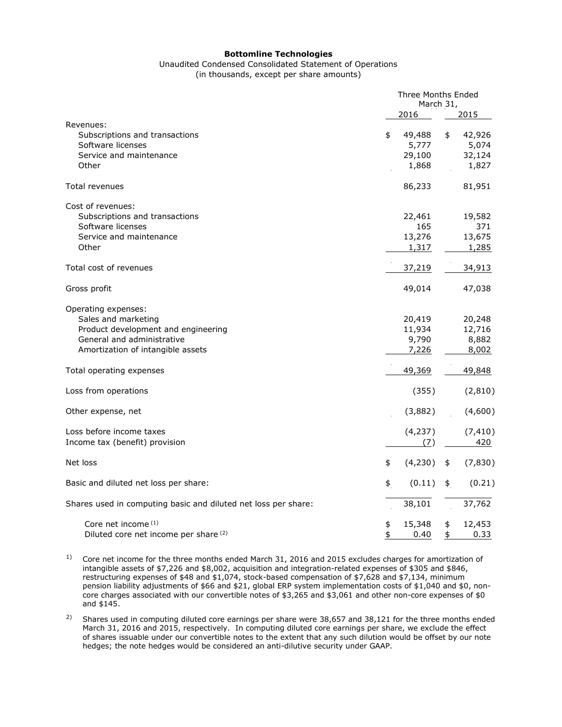#### **Bottomline Technologies**

# Unaudited Condensed Consolidated Statement of Operations

(in thousands, except per share amounts)

|                                                                                                                                                      | Three Months Ended<br>March 31, |                                    |          |                                    |
|------------------------------------------------------------------------------------------------------------------------------------------------------|---------------------------------|------------------------------------|----------|------------------------------------|
|                                                                                                                                                      |                                 | 2016                               |          | 2015                               |
| Revenues:<br>Subscriptions and transactions<br>Software licenses<br>Service and maintenance<br>Other                                                 | \$                              | 49,488<br>5,777<br>29,100<br>1,868 | \$       | 42,926<br>5,074<br>32,124<br>1,827 |
| Total revenues                                                                                                                                       |                                 | 86,233                             |          | 81,951                             |
| Cost of revenues:<br>Subscriptions and transactions<br>Software licenses<br>Service and maintenance<br>Other                                         |                                 | 22,461<br>165<br>13,276<br>1,317   |          | 19,582<br>371<br>13,675<br>1,285   |
| Total cost of revenues                                                                                                                               |                                 | 37,219                             |          | 34,913                             |
| Gross profit                                                                                                                                         |                                 | 49,014                             |          | 47,038                             |
| Operating expenses:<br>Sales and marketing<br>Product development and engineering<br>General and administrative<br>Amortization of intangible assets |                                 | 20,419<br>11,934<br>9,790<br>7,226 |          | 20,248<br>12,716<br>8,882<br>8,002 |
| Total operating expenses                                                                                                                             |                                 | 49,369                             |          | 49,848                             |
| Loss from operations                                                                                                                                 |                                 | (355)                              |          | (2,810)                            |
| Other expense, net                                                                                                                                   |                                 | (3,882)                            |          | (4,600)                            |
| Loss before income taxes<br>Income tax (benefit) provision                                                                                           |                                 | (4, 237)<br>(7)                    |          | (7, 410)<br>420                    |
| Net loss                                                                                                                                             | \$                              | (4,230)                            | \$       | (7, 830)                           |
| Basic and diluted net loss per share:                                                                                                                | \$                              | (0.11)                             | \$       | (0.21)                             |
| Shares used in computing basic and diluted net loss per share:                                                                                       |                                 | 38,101                             |          | 37,762                             |
| Core net income (1)<br>Diluted core net income per share <sup>(2)</sup>                                                                              | \$<br>\$                        | 15,348<br>0.40                     | \$<br>\$ | 12,453<br>0.33                     |

<sup>1)</sup> Core net income for the three months ended March 31, 2016 and 2015 excludes charges for amortization of intangible assets of \$7,226 and \$8,002, acquisition and integration-related expenses of \$305 and \$846, restructuring expenses of \$48 and \$1,074, stock-based compensation of \$7,628 and \$7,134, minimum pension liability adjustments of \$66 and \$21, global ERP system implementation costs of \$1,040 and \$0, noncore charges associated with our convertible notes of \$3,265 and \$3,061 and other non-core expenses of \$0 and \$145.

<sup>2)</sup> Shares used in computing diluted core earnings per share were 38,657 and 38,121 for the three months ended March 31, 2016 and 2015, respectively. In computing diluted core earnings per share, we exclude the effect of shares issuable under our convertible notes to the extent that any such dilution would be offset by our note hedges; the note hedges would be considered an anti-dilutive security under GAAP.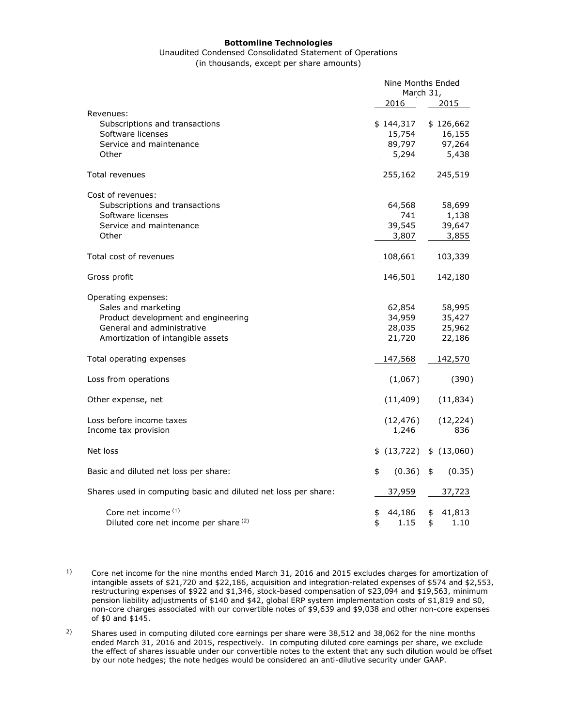#### **Bottomline Technologies**

#### Unaudited Condensed Consolidated Statement of Operations (in thousands, except per share amounts)

|                                                                | Nine Months Ended<br>March 31, |                         |  |
|----------------------------------------------------------------|--------------------------------|-------------------------|--|
|                                                                | 2016                           | 2015                    |  |
| Revenues:                                                      |                                |                         |  |
| Subscriptions and transactions                                 | \$144,317                      | \$126,662               |  |
| Software licenses                                              | 15,754                         | 16,155                  |  |
| Service and maintenance                                        | 89,797                         | 97,264                  |  |
| Other                                                          | 5,294                          | 5,438                   |  |
| Total revenues                                                 | 255,162                        | 245,519                 |  |
| Cost of revenues:                                              |                                |                         |  |
| Subscriptions and transactions                                 | 64,568                         | 58,699                  |  |
| Software licenses                                              | 741                            | 1,138                   |  |
| Service and maintenance                                        | 39,545                         | 39,647                  |  |
| Other                                                          | 3,807                          | 3,855                   |  |
| Total cost of revenues                                         | 108,661                        | 103,339                 |  |
| Gross profit                                                   | 146,501                        | 142,180                 |  |
| Operating expenses:                                            |                                |                         |  |
| Sales and marketing                                            | 62,854                         | 58,995                  |  |
| Product development and engineering                            | 34,959                         | 35,427                  |  |
| General and administrative                                     | 28,035                         | 25,962                  |  |
| Amortization of intangible assets                              | 21,720                         | 22,186                  |  |
| Total operating expenses                                       | 147,568                        | 142,570                 |  |
| Loss from operations                                           | (1,067)                        | (390)                   |  |
| Other expense, net                                             | (11, 409)                      | (11, 834)               |  |
| Loss before income taxes                                       | (12, 476)                      | (12, 224)               |  |
| Income tax provision                                           | 1,246                          | 836                     |  |
| Net loss                                                       | \$(13,722)                     | \$(13,060)              |  |
| Basic and diluted net loss per share:                          | (0.36)<br>\$                   | (0.35)<br>$\frac{1}{2}$ |  |
| Shares used in computing basic and diluted net loss per share: | 37,959                         | 37,723                  |  |
| Core net income (1)                                            | \$<br>44,186                   | \$<br>41,813            |  |
| Diluted core net income per share (2)                          | \$<br>1.15                     | \$<br>1.10              |  |

<sup>2)</sup> Shares used in computing diluted core earnings per share were 38,512 and 38,062 for the nine months ended March 31, 2016 and 2015, respectively. In computing diluted core earnings per share, we exclude the effect of shares issuable under our convertible notes to the extent that any such dilution would be offset by our note hedges; the note hedges would be considered an anti-dilutive security under GAAP.

<sup>&</sup>lt;sup>1)</sup> Core net income for the nine months ended March 31, 2016 and 2015 excludes charges for amortization of intangible assets of \$21,720 and \$22,186, acquisition and integration-related expenses of \$574 and \$2,553, restructuring expenses of \$922 and \$1,346, stock-based compensation of \$23,094 and \$19,563, minimum pension liability adjustments of \$140 and \$42, global ERP system implementation costs of \$1,819 and \$0, non-core charges associated with our convertible notes of \$9,639 and \$9,038 and other non-core expenses of \$0 and \$145.